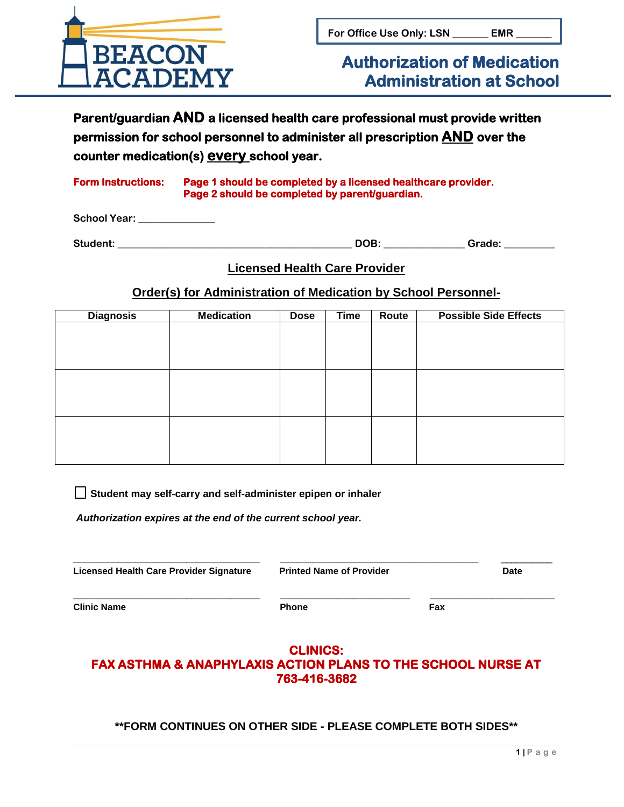

# **Authorization of Medication Administration at School**

**Parent/guardian AND a licensed health care professional must provide written permission for school personnel to administer all prescription AND over the counter medication(s) every school year.** 

#### **Form Instructions: Page 1 should be completed by a licensed healthcare provider. Page 2 should be completed by parent/guardian.**

**School Year: \_\_\_\_\_\_\_\_\_\_\_\_\_\_\_**

Student: **Contract Contract Contract Contract Contract Contract Contract Contract Contract Contract Contract Contract Contract Contract Contract Contract Contract Contract Contract Contract Contract Contract Contract Contr** 

### **Licensed Health Care Provider**

**Order(s) for Administration of Medication by School Personnel-**

| <b>Diagnosis</b> | <b>Medication</b> | <b>Dose</b> | <b>Time</b> | Route | <b>Possible Side Effects</b> |  |
|------------------|-------------------|-------------|-------------|-------|------------------------------|--|
|                  |                   |             |             |       |                              |  |
|                  |                   |             |             |       |                              |  |
|                  |                   |             |             |       |                              |  |
|                  |                   |             |             |       |                              |  |
|                  |                   |             |             |       |                              |  |
|                  |                   |             |             |       |                              |  |
|                  |                   |             |             |       |                              |  |
|                  |                   |             |             |       |                              |  |
|                  |                   |             |             |       |                              |  |
|                  |                   |             |             |       |                              |  |
|                  |                   |             |             |       |                              |  |

 **Student may self-carry and self-administer epipen or inhaler** 

*Authorization expires at the end of the current school year.* 

| <b>Licensed Health Care Provider Signature</b> | <b>Printed Name of Provider</b> | <b>Date</b> |  |
|------------------------------------------------|---------------------------------|-------------|--|
| <b>Clinic Name</b>                             | <b>Phone</b>                    | Fax         |  |

## **CLINICS: FAX ASTHMA & ANAPHYLAXIS ACTION PLANS TO THE SCHOOL NURSE AT 763-416-3682**

**\*\*FORM CONTINUES ON OTHER SIDE - PLEASE COMPLETE BOTH SIDES\*\***